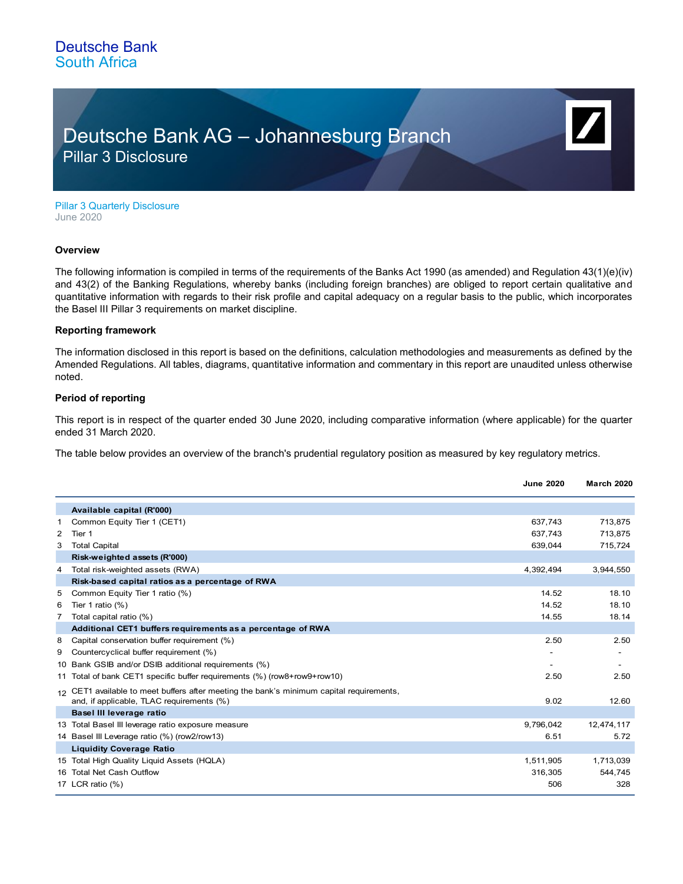# Deutsche Bank AG – Johannesburg Branch Pillar 3 Disclosure

Pillar 3 Quarterly Disclosure June 2020

### **Overview**

The following information is compiled in terms of the requirements of the Banks Act 1990 (as amended) and Regulation 43(1)(e)(iv) and 43(2) of the Banking Regulations, whereby banks (including foreign branches) are obliged to report certain qualitative and quantitative information with regards to their risk profile and capital adequacy on a regular basis to the public, which incorporates the Basel III Pillar 3 requirements on market discipline.

## **Reporting framework**

The information disclosed in this report is based on the definitions, calculation methodologies and measurements as defined by the Amended Regulations. All tables, diagrams, quantitative information and commentary in this report are unaudited unless otherwise noted.

### **Period of reporting**

This report is in respect of the quarter ended 30 June 2020, including comparative information (where applicable) for the quarter ended 31 March 2020.

The table below provides an overview of the branch's prudential regulatory position as measured by key regulatory metrics.

|   |                                                                                                    | <b>June 2020</b>  | <b>March 2020</b>  |
|---|----------------------------------------------------------------------------------------------------|-------------------|--------------------|
|   | Available capital (R'000)                                                                          |                   |                    |
| 1 | Common Equity Tier 1 (CET1)                                                                        | 637,743           | 713,875            |
| 2 | Tier 1                                                                                             | 637,743           | 713,875            |
| 3 | <b>Total Capital</b>                                                                               | 639,044           | 715,724            |
|   | Risk-weighted assets (R'000)                                                                       |                   |                    |
| 4 | Total risk-weighted assets (RWA)                                                                   | 4,392,494         | 3,944,550          |
|   | Risk-based capital ratios as a percentage of RWA                                                   |                   |                    |
| 5 | Common Equity Tier 1 ratio (%)                                                                     | 14.52             | 18.10              |
| 6 | Tier 1 ratio $(%)$                                                                                 | 14.52             | 18.10              |
| 7 | Total capital ratio (%)                                                                            | 14.55             | 18.14              |
|   | Additional CET1 buffers requirements as a percentage of RWA                                        |                   |                    |
| 8 | Capital conservation buffer requirement (%)                                                        | 2.50              | 2.50               |
| 9 | Countercyclical buffer requirement (%)                                                             |                   |                    |
|   | 10 Bank GSIB and/or DSIB additional requirements (%)                                               |                   |                    |
|   | 11 Total of bank CET1 specific buffer requirements (%) (row8+row9+row10)                           | 2.50              | 2.50               |
|   | 12 CET1 available to meet buffers after meeting the bank's minimum capital requirements,           | 9.02              | 12.60              |
|   | and, if applicable, TLAC requirements (%)<br>Basel III leverage ratio                              |                   |                    |
|   |                                                                                                    |                   |                    |
|   | 13 Total Basel III leverage ratio exposure measure<br>14 Basel III Leverage ratio (%) (row2/row13) | 9,796,042<br>6.51 | 12,474,117<br>5.72 |
|   | <b>Liquidity Coverage Ratio</b>                                                                    |                   |                    |
|   | 15 Total High Quality Liguid Assets (HQLA)                                                         |                   |                    |
|   | 16 Total Net Cash Outflow                                                                          | 1,511,905         | 1,713,039          |
|   | 17 LCR ratio (%)                                                                                   | 316,305<br>506    | 544,745<br>328     |